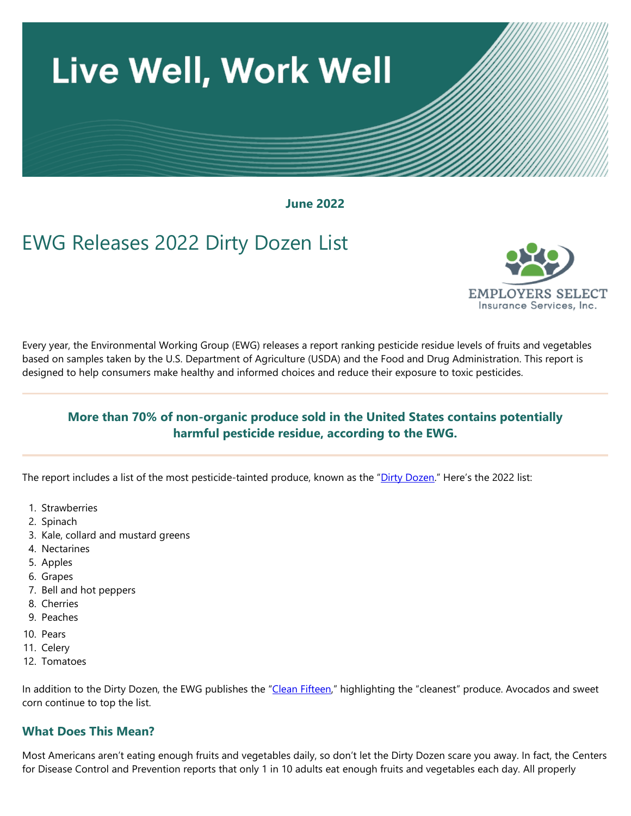

**June 2022**

# EWG Releases 2022 Dirty Dozen List



Every year, the Environmental Working Group (EWG) releases a report ranking pesticide residue levels of fruits and vegetables based on samples taken by the U.S. Department of Agriculture (USDA) and the Food and Drug Administration. This report is designed to help consumers make healthy and informed choices and reduce their exposure to toxic pesticides.

### **More than 70% of non-organic produce sold in the United States contains potentially harmful pesticide residue, according to the EWG.**

The report includes a list of the most pesticide-tainted produce, known as the ["Dirty Dozen."](https://www.ewg.org/foodnews/dirty-dozen.php) Here's the 2022 list:

- 1. Strawberries
- 2. Spinach
- 3. Kale, collard and mustard greens
- 4. Nectarines
- 5. Apples
- 6. Grapes
- 7. Bell and hot peppers
- 8. Cherries
- 9. Peaches
- 10. Pears
- 11. Celery
- 12. Tomatoes

In addition to the Dirty Dozen, the EWG publishes the ["Clean Fifteen,"](https://www.ewg.org/foodnews/clean-fifteen.php) highlighting the "cleanest" produce. Avocados and sweet corn continue to top the list.

#### **What Does This Mean?**

Most Americans aren't eating enough fruits and vegetables daily, so don't let the Dirty Dozen scare you away. In fact, the Centers for Disease Control and Prevention reports that only 1 in 10 adults eat enough fruits and vegetables each day. All properly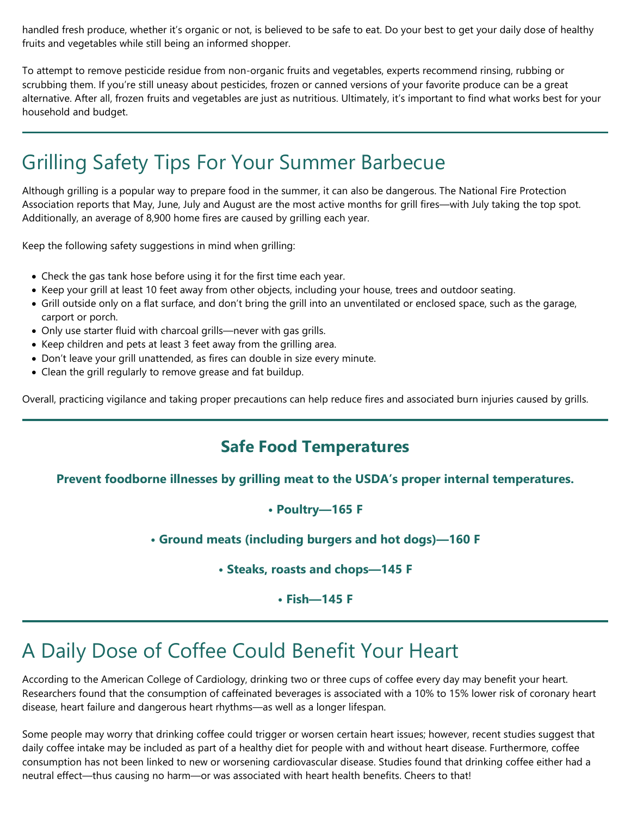handled fresh produce, whether it's organic or not, is believed to be safe to eat. Do your best to get your daily dose of healthy fruits and vegetables while still being an informed shopper.

To attempt to remove pesticide residue from non-organic fruits and vegetables, experts recommend rinsing, rubbing or scrubbing them. If you're still uneasy about pesticides, frozen or canned versions of your favorite produce can be a great alternative. After all, frozen fruits and vegetables are just as nutritious. Ultimately, it's important to find what works best for your household and budget.

# Grilling Safety Tips For Your Summer Barbecue

Although grilling is a popular way to prepare food in the summer, it can also be dangerous. The National Fire Protection Association reports that May, June, July and August are the most active months for grill fires—with July taking the top spot. Additionally, an average of 8,900 home fires are caused by grilling each year.

Keep the following safety suggestions in mind when grilling:

- Check the gas tank hose before using it for the first time each year.
- Keep your grill at least 10 feet away from other objects, including your house, trees and outdoor seating.
- Grill outside only on a flat surface, and don't bring the grill into an unventilated or enclosed space, such as the garage, carport or porch.
- Only use starter fluid with charcoal grills—never with gas grills.
- Keep children and pets at least 3 feet away from the grilling area.
- Don't leave your grill unattended, as fires can double in size every minute.
- Clean the grill regularly to remove grease and fat buildup.

Overall, practicing vigilance and taking proper precautions can help reduce fires and associated burn injuries caused by grills.

## **Safe Food Temperatures**

#### **Prevent foodborne illnesses by grilling meat to the USDA's proper internal temperatures.**

#### **• Poultry—165 F**

**• Ground meats (including burgers and hot dogs)—160 F**

**• Steaks, roasts and chops—145 F**

**• Fish—145 F**

# A Daily Dose of Coffee Could Benefit Your Heart

According to the American College of Cardiology, drinking two or three cups of coffee every day may benefit your heart. Researchers found that the consumption of caffeinated beverages is associated with a 10% to 15% lower risk of coronary heart disease, heart failure and dangerous heart rhythms—as well as a longer lifespan.

Some people may worry that drinking coffee could trigger or worsen certain heart issues; however, recent studies suggest that daily coffee intake may be included as part of a healthy diet for people with and without heart disease. Furthermore, coffee consumption has not been linked to new or worsening cardiovascular disease. Studies found that drinking coffee either had a neutral effect—thus causing no harm—or was associated with heart health benefits. Cheers to that!